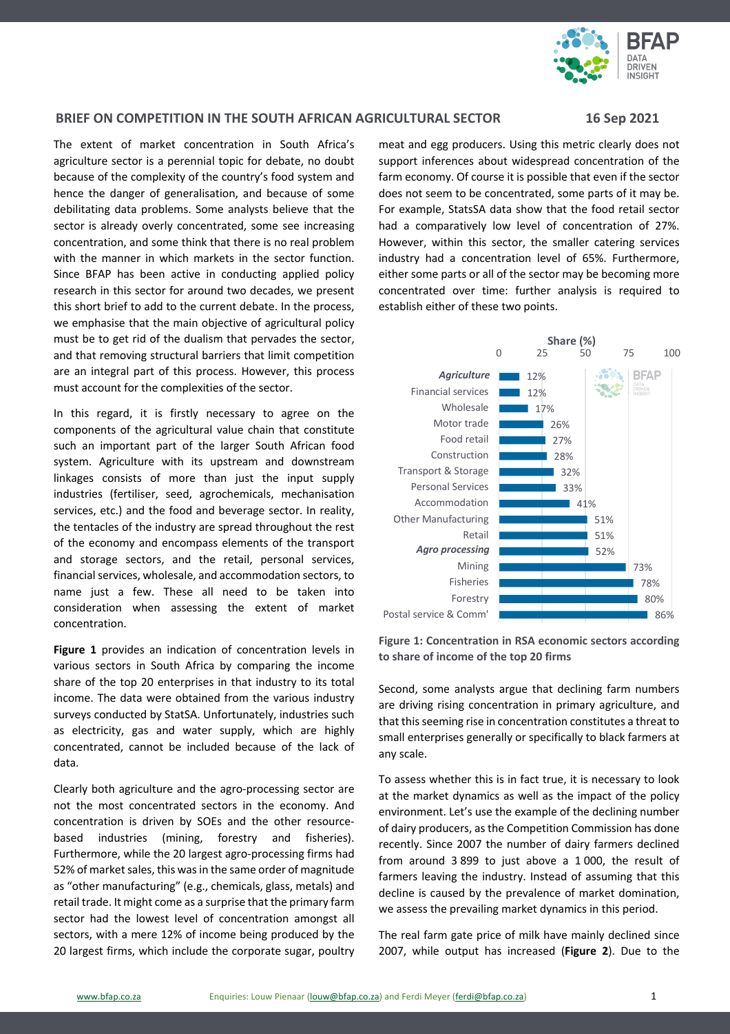

## **BRIEF ON COMPETITION IN THE SOUTH AFRICAN AGRICULTURAL SECTOR 16 Sep 2021**

The extent of market concentration in South Africa's agriculture sector is a perennial topic for debate, no doubt because of the complexity of the country's food system and hence the danger of generalisation, and because of some debilitating data problems. Some analysts believe that the sector is already overly concentrated, some see increasing concentration, and some think that there is no real problem with the manner in which markets in the sector function. Since BFAP has been active in conducting applied policy research in this sector for around two decades, we present this short brief to add to the current debate. In the process, we emphasise that the main objective of agricultural policy must be to get rid of the dualism that pervades the sector, and that removing structural barriers that limit competition are an integral part of this process. However, this process must account for the complexities of the sector.

In this regard, it is firstly necessary to agree on the components of the agricultural value chain that constitute such an important part of the larger South African food system. Agriculture with its upstream and downstream linkages consists of more than just the input supply industries (fertiliser, seed, agrochemicals, mechanisation services, etc.) and the food and beverage sector. In reality, the tentacles of the industry are spread throughout the rest of the economy and encompass elements of the transport and storage sectors, and the retail, personal services, financial services, wholesale, and accommodation sectors, to name just a few. These all need to be taken into consideration when assessing the extent of market concentration.

**Figure 1** provides an indication of concentration levels in various sectors in South Africa by comparing the income share of the top 20 enterprises in that industry to its total income. The data were obtained from the various industry surveys conducted by StatSA. Unfortunately, industries such as electricity, gas and water supply, which are highly concentrated, cannot be included because of the lack of data.

Clearly both agriculture and the agro-processing sector are not the most concentrated sectors in the economy. And concentration is driven by SOEs and the other resourcebased industries (mining, forestry and fisheries). Furthermore, while the 20 largest agro-processing firms had 52% of market sales, this was in the same order of magnitude as "other manufacturing" (e.g., chemicals, glass, metals) and retail trade. It might come as a surprise that the primary farm sector had the lowest level of concentration amongst all sectors, with a mere 12% of income being produced by the 20 largest firms, which include the corporate sugar, poultry

meat and egg producers. Using this metric clearly does not support inferences about widespread concentration of the farm economy. Of course it is possible that even if the sector does not seem to be concentrated, some parts of it may be. For example, StatsSA data show that the food retail sector had a comparatively low level of concentration of 27%. However, within this sector, the smaller catering services industry had a concentration level of 65%. Furthermore, either some parts or all of the sector may be becoming more concentrated over time: further analysis is required to establish either of these two points.



**Figure 1: Concentration in RSA economic sectors according to share of income of the top 20 firms**

Second, some analysts argue that declining farm numbers are driving rising concentration in primary agriculture, and that this seeming rise in concentration constitutes a threat to small enterprises generally or specifically to black farmers at any scale.

To assess whether this is in fact true, it is necessary to look at the market dynamics as well as the impact of the policy environment. Let's use the example of the declining number of dairy producers, as the Competition Commission has done recently. Since 2007 the number of dairy farmers declined from around 3 899 to just above a 1 000, the result of farmers leaving the industry. Instead of assuming that this decline is caused by the prevalence of market domination, we assess the prevailing market dynamics in this period.

The real farm gate price of milk have mainly declined since 2007, while output has increased (**Figure 2**). Due to the